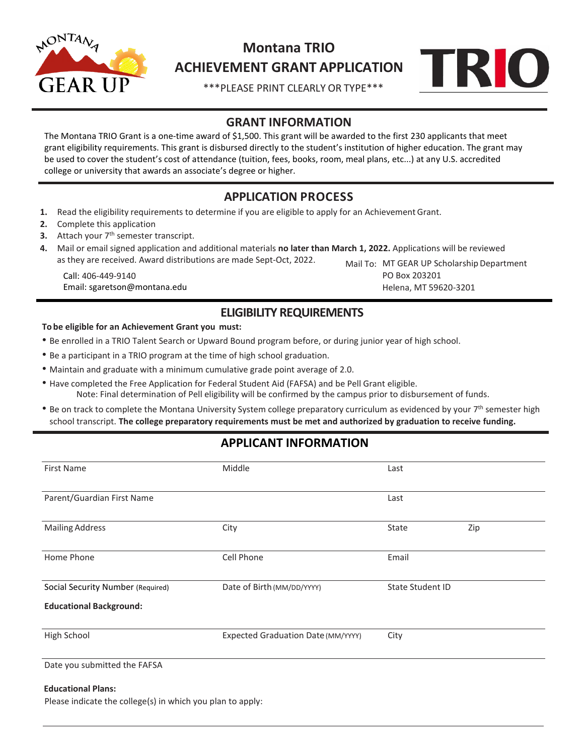

# **Montana TRIO ACHIEVEMENT GRANT APPLICATION**



\*\*\*PLEASE PRINT CLEARLY OR TYPE\*\*\*

## **GRANT INFORMATION**

The Montana TRIO Grant is a one-time award of \$1,500. This grant will be awarded to the first 230 applicants that meet grant eligibility requirements. This grant is disbursed directly to the student's institution of higher education. The grant may be used to cover the student's cost of attendance (tuition, fees, books, room, meal plans, etc...) at any U.S. accredited college or university that awards an associate's degree or higher.

# **APPLICATION PROCESS**

- **1.** Read the eligibility requirements to determine if you are eligible to apply for an Achievement Grant.
- **2.** Complete this application
- **3.** Attach your 7<sup>th</sup> semester transcript.
- **4.** Mail or email signed application and additional materials **no later than March 1, 2022.** Applications will be reviewed as they are received. Award distributions are made Sept-Oct, 2022.

Call: 406-449-9140 Email: sgaretson@montana.edu

PO Box 203201 Helena, MT 59620-3201 Mail To: MT GEAR UP Scholarship Department

### **ELIGIBILITY REQUIREMENTS**

#### **To be eligible for an Achievement Grant you must:**

- Be enrolled in a TRIO Talent Search or Upward Bound program before, or during junior year of high school.
- Be a participant in a TRIO program at the time of high school graduation.
- Maintain and graduate with a minimum cumulative grade point average of 2.0.
- Have completed the Free Application for Federal Student Aid (FAFSA) and be Pell Grant eligible. Note: Final determination of Pell eligibility will be confirmed by the campus prior to disbursement of funds.
- Be on track to complete the Montana University System college preparatory curriculum as evidenced by your 7<sup>th</sup> semester high school transcript. **The college preparatory requirements must be met and authorized by graduation to receive funding.**

## **APPLICANT INFORMATION**

| <b>First Name</b>                 | Middle                             | Last                    |     |
|-----------------------------------|------------------------------------|-------------------------|-----|
| Parent/Guardian First Name        |                                    | Last                    |     |
| <b>Mailing Address</b>            | City                               | State                   | Zip |
| Home Phone                        | Cell Phone                         | Email                   |     |
| Social Security Number (Required) | Date of Birth (MM/DD/YYYY)         | <b>State Student ID</b> |     |
| <b>Educational Background:</b>    |                                    |                         |     |
| High School                       | Expected Graduation Date (MM/YYYY) | City                    |     |
| Date you submitted the FAFSA      |                                    |                         |     |
| <b>Educational Plans:</b>         |                                    |                         |     |

Please indicate the college(s) in which you plan to apply: